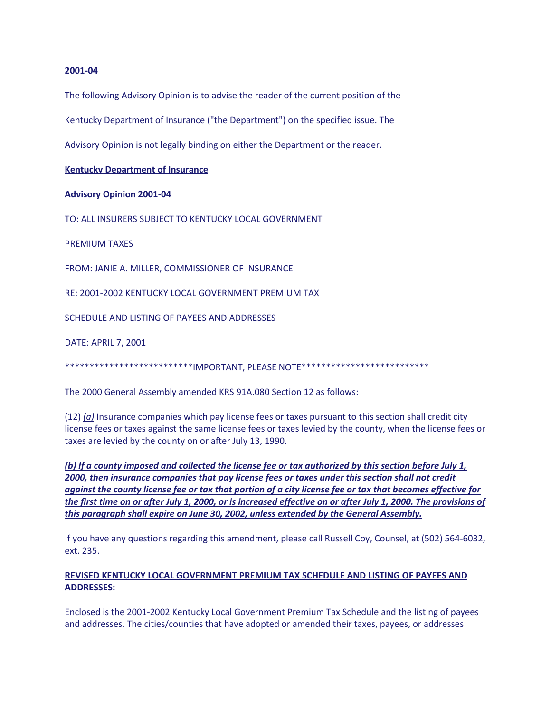#### **2001-04**

The following Advisory Opinion is to advise the reader of the current position of the

Kentucky Department of Insurance ("the Department") on the specified issue. The

Advisory Opinion is not legally binding on either the Department or the reader.

**Kentucky Department of Insurance**

### **Advisory Opinion 2001-04**

TO: ALL INSURERS SUBJECT TO KENTUCKY LOCAL GOVERNMENT

PREMIUM TAXES

FROM: JANIE A. MILLER, COMMISSIONER OF INSURANCE

RE: 2001-2002 KENTUCKY LOCAL GOVERNMENT PREMIUM TAX

SCHEDULE AND LISTING OF PAYEES AND ADDRESSES

DATE: APRIL 7, 2001

\*\*\*\*\*\*\*\*\*\*\*\*\*\*\*\*\*\*\*\*\*\*\*\*\*\*\*\*IMPORTANT, PLEASE NOTE\*\*\*\*\*\*\*\*\*\*\*\*\*\*\*\*\*\*\*\*\*\*\*\*\*\*\*\*\*

The 2000 General Assembly amended KRS 91A.080 Section 12 as follows:

(12) *(a)* Insurance companies which pay license fees or taxes pursuant to this section shall credit city license fees or taxes against the same license fees or taxes levied by the county, when the license fees or taxes are levied by the county on or after July 13, 1990.

*(b) If a county imposed and collected the license fee or tax authorized by this section before July 1, 2000, then insurance companies that pay license fees or taxes under this section shall not credit against the county license fee or tax that portion of a city license fee or tax that becomes effective for the first time on or after July 1, 2000, or is increased effective on or after July 1, 2000. The provisions of this paragraph shall expire on June 30, 2002, unless extended by the General Assembly.*

If you have any questions regarding this amendment, please call Russell Coy, Counsel, at (502) 564-6032, ext. 235.

# **REVISED KENTUCKY LOCAL GOVERNMENT PREMIUM TAX SCHEDULE AND LISTING OF PAYEES AND ADDRESSES:**

Enclosed is the 2001-2002 Kentucky Local Government Premium Tax Schedule and the listing of payees and addresses. The cities/counties that have adopted or amended their taxes, payees, or addresses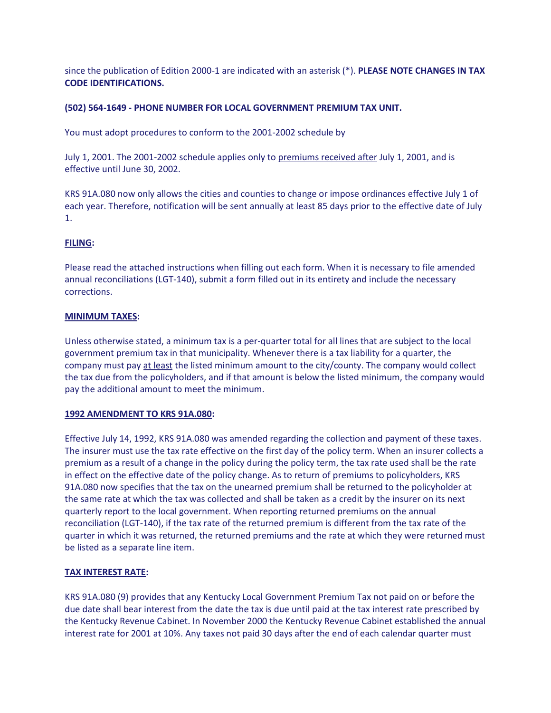since the publication of Edition 2000-1 are indicated with an asterisk (\*). **PLEASE NOTE CHANGES IN TAX CODE IDENTIFICATIONS.** 

### **(502) 564-1649 - PHONE NUMBER FOR LOCAL GOVERNMENT PREMIUM TAX UNIT.**

You must adopt procedures to conform to the 2001-2002 schedule by

July 1, 2001. The 2001-2002 schedule applies only to premiums received after July 1, 2001, and is effective until June 30, 2002.

KRS 91A.080 now only allows the cities and counties to change or impose ordinances effective July 1 of each year. Therefore, notification will be sent annually at least 85 days prior to the effective date of July 1.

### **FILING:**

Please read the attached instructions when filling out each form. When it is necessary to file amended annual reconciliations (LGT-140), submit a form filled out in its entirety and include the necessary corrections.

### **MINIMUM TAXES:**

Unless otherwise stated, a minimum tax is a per-quarter total for all lines that are subject to the local government premium tax in that municipality. Whenever there is a tax liability for a quarter, the company must pay at least the listed minimum amount to the city/county. The company would collect the tax due from the policyholders, and if that amount is below the listed minimum, the company would pay the additional amount to meet the minimum.

### **1992 AMENDMENT TO KRS 91A.080:**

Effective July 14, 1992, KRS 91A.080 was amended regarding the collection and payment of these taxes. The insurer must use the tax rate effective on the first day of the policy term. When an insurer collects a premium as a result of a change in the policy during the policy term, the tax rate used shall be the rate in effect on the effective date of the policy change. As to return of premiums to policyholders, KRS 91A.080 now specifies that the tax on the unearned premium shall be returned to the policyholder at the same rate at which the tax was collected and shall be taken as a credit by the insurer on its next quarterly report to the local government. When reporting returned premiums on the annual reconciliation (LGT-140), if the tax rate of the returned premium is different from the tax rate of the quarter in which it was returned, the returned premiums and the rate at which they were returned must be listed as a separate line item.

### **TAX INTEREST RATE:**

KRS 91A.080 (9) provides that any Kentucky Local Government Premium Tax not paid on or before the due date shall bear interest from the date the tax is due until paid at the tax interest rate prescribed by the Kentucky Revenue Cabinet. In November 2000 the Kentucky Revenue Cabinet established the annual interest rate for 2001 at 10%. Any taxes not paid 30 days after the end of each calendar quarter must